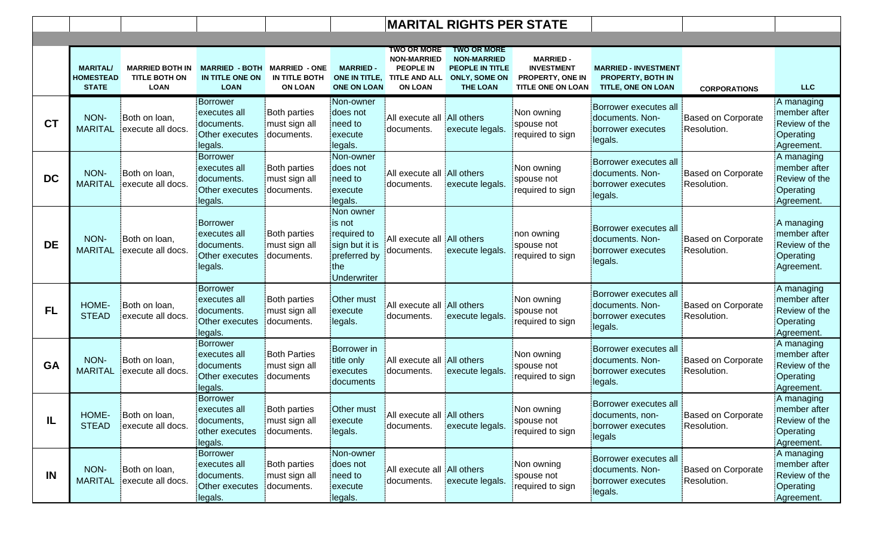|           |                                                     |                                                               |                                                                     | <b>MARITAL RIGHTS PER STATE</b>                         |                                                                                            |                                                                                                               |                                                                                                               |                                                                                       |                                                                               |                                          |                                                                          |
|-----------|-----------------------------------------------------|---------------------------------------------------------------|---------------------------------------------------------------------|---------------------------------------------------------|--------------------------------------------------------------------------------------------|---------------------------------------------------------------------------------------------------------------|---------------------------------------------------------------------------------------------------------------|---------------------------------------------------------------------------------------|-------------------------------------------------------------------------------|------------------------------------------|--------------------------------------------------------------------------|
|           |                                                     |                                                               |                                                                     |                                                         |                                                                                            |                                                                                                               |                                                                                                               |                                                                                       |                                                                               |                                          |                                                                          |
|           | <b>MARITAL/</b><br><b>HOMESTEAD</b><br><b>STATE</b> | <b>MARRIED BOTH IN</b><br><b>TITLE BOTH ON</b><br><b>LOAN</b> | <b>MARRIED - BOTH</b><br>IN TITLE ONE ON<br><b>LOAN</b>             | <b>MARRIED - ONE</b><br>IN TITLE BOTH<br><b>ON LOAN</b> | <b>MARRIED-</b><br><b>ONE ON LOAN</b>                                                      | <b>TWO OR MORE</b><br><b>NON-MARRIED</b><br><b>PEOPLE IN</b><br>ONE IN TITLE, TITLE AND ALL<br><b>ON LOAN</b> | <b>TWO OR MORE</b><br><b>NON-MARRIED</b><br><b>PEOPLE IN TITLE</b><br><b>ONLY, SOME ON</b><br><b>THE LOAN</b> | <b>MARRIED -</b><br><b>INVESTMENT</b><br>PROPERTY, ONE IN<br><b>TITLE ONE ON LOAN</b> | <b>MARRIED - INVESTMENT</b><br><b>PROPERTY, BOTH IN</b><br>TITLE, ONE ON LOAN | <b>CORPORATIONS</b>                      | <b>LLC</b>                                                               |
| <b>CT</b> | NON-<br><b>MARITAL</b>                              | Both on loan,<br>execute all docs.                            | Borrower<br>executes all<br>documents.<br>Other executes<br>legals. | <b>Both parties</b><br>must sign all<br>documents.      | Non-owner<br>does not<br>need to<br>execute<br>legals.                                     | All execute all All others<br>documents.                                                                      | execute legals.                                                                                               | Non owning<br>spouse not<br>required to sign                                          | Borrower executes all<br>documents. Non-<br>borrower executes<br>legals.      | Based on Corporate<br>Resolution.        | A managing<br>member after<br>Review of the<br>Operating<br>Agreement.   |
| <b>DC</b> | NON-<br><b>MARITAL</b>                              | Both on loan,<br>execute all docs.                            | Borrower<br>executes all<br>documents.<br>Other executes<br>legals. | Both parties<br>must sign all<br>documents.             | Non-owner<br>does not<br>need to<br>execute<br>legals.                                     | All execute all All others<br>documents.                                                                      | execute legals.                                                                                               | Non owning<br>spouse not<br>required to sign                                          | Borrower executes all<br>documents. Non-<br>borrower executes<br>legals.      | Based on Corporate<br>Resolution.        | A managing<br>member after<br>Review of the<br>Operating<br>Agreement.   |
| <b>DE</b> | NON-<br><b>MARITAL</b>                              | : Both on loan,<br>execute all docs.                          | Borrower<br>executes all<br>documents.<br>Other executes<br>legals. | <b>Both parties</b><br>must sign all<br>documents.      | Non owner<br>is not<br>required to<br>sign but it is<br>preferred by<br>the<br>Underwriter | All execute all All others<br>:documents.                                                                     | execute legals.                                                                                               | non owning<br>spouse not<br>required to sign                                          | Borrower executes all<br>documents. Non-<br>borrower executes<br>legals.      | Based on Corporate<br>Resolution.        | A managing<br>member after<br>Review of the<br>Operating<br>Agreement.   |
| FL        | HOME-<br><b>STEAD</b>                               | Both on loan,<br>execute all docs.                            | Borrower<br>executes all<br>documents.<br>Other executes<br>legals. | <b>Both parties</b><br>must sign all<br>documents.      | Other must<br>.execute<br>legals.                                                          | All execute all All others<br>documents.                                                                      | execute legals.                                                                                               | Non owning<br>spouse not<br>required to sign                                          | Borrower executes all<br>documents. Non-<br>borrower executes<br>legals.      | <b>Based on Corporate</b><br>Resolution. | A managing<br>member after<br>Review of the<br>Operating<br>:Agreement.  |
| GA        | NON-<br><b>MARITAL</b>                              | Both on loan,<br>execute all docs.                            | Borrower<br>executes all<br>documents<br>Other executes<br>legals.  | <b>Both Parties</b><br>must sign all<br>documents       | Borrower in<br>title only<br>executes<br>documents                                         | All execute all All others<br>documents.                                                                      | execute legals.                                                                                               | Non owning<br>spouse not<br>required to sign                                          | Borrower executes all<br>documents. Non-<br>borrower executes<br>legals.      | <b>Based on Corporate</b><br>Resolution. | : A managing<br>member after<br>Review of the<br>Operating<br>Agreement. |
| IL        | <b>STEAD</b>                                        | HOME- Both on loan,<br>execute all docs.                      | Borrower<br>executes all<br>documents,<br>other executes<br>legals. | <b>Both parties</b><br>must sign all<br>documents.      | execute<br>legals.                                                                         | Other must All execute all All others<br>documents.                                                           | execute legals.                                                                                               | Non owning<br>spouse not<br>required to sign                                          | Borrower executes all<br>documents, non-<br>borrower executes<br>legals       | Based on Corporate<br>Resolution.        | : A managing<br>member after<br>Review of the<br>Operating<br>Agreement. |
| IN        | NON-                                                | Both on loan,<br>MARITAL execute all docs.                    | Borrower<br>executes all<br>documents.<br>Other executes<br>legals. | Both parties<br>must sign all<br>documents.             | Non-owner<br>does not<br>need to<br>execute<br>legals.                                     | All execute all All others<br>documents.                                                                      | execute legals.                                                                                               | Non owning<br>spouse not<br>required to sign                                          | Borrower executes all<br>documents. Non-<br>borrower executes<br>legals.      | <b>Based on Corporate</b><br>Resolution. | A managing<br>member after<br>Review of the<br>Operating<br>Agreement.   |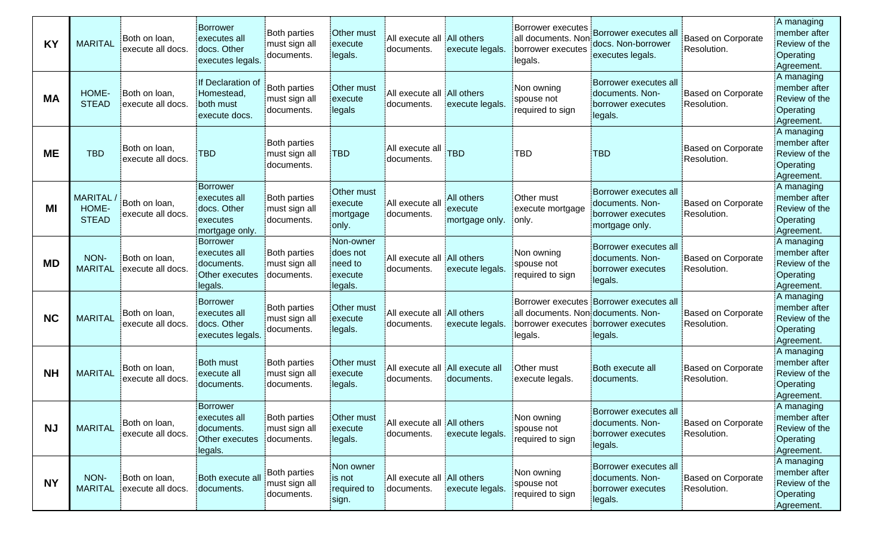| <b>KY</b> | <b>MARITAL</b>                          | Both on loan,<br>execute all docs.         | <b>Borrower</b><br>executes all<br>docs. Other<br>executes legals.    | <b>Both parties</b><br>must sign all<br>documents. | Other must<br>execute<br>legals.                        | All execute all All others<br>documents.      | execute legals.                         | Borrower executes<br>all documents. Non<br>borrower executes<br>legals.                | Borrower executes all<br>docs. Non-borrower<br>executes legals.                 | <b>Based on Corporate</b><br>Resolution. | A managing<br>member after<br>Review of the<br><b>Operating</b><br>:Agreement. |
|-----------|-----------------------------------------|--------------------------------------------|-----------------------------------------------------------------------|----------------------------------------------------|---------------------------------------------------------|-----------------------------------------------|-----------------------------------------|----------------------------------------------------------------------------------------|---------------------------------------------------------------------------------|------------------------------------------|--------------------------------------------------------------------------------|
| <b>MA</b> | HOME-<br><b>STEAD</b>                   | Both on loan,<br>execute all docs.         | If Declaration of<br>Homestead,<br>both must<br>execute docs.         | Both parties<br>must sign all<br>documents.        | Other must<br>execute<br>legals                         | All execute all All others<br>documents.      | execute legals.                         | Non owning<br>spouse not<br>required to sign                                           | Borrower executes all<br>documents. Non-<br>borrower executes<br>legals.        | <b>Based on Corporate</b><br>Resolution. | A managing<br>member after<br>Review of the<br>Operating<br>:Agreement.        |
| <b>ME</b> | <b>TBD</b>                              | Both on loan,<br>execute all docs.         | <b>TBD</b>                                                            | <b>Both parties</b><br>must sign all<br>documents. | :TBD                                                    | All execute all<br>documents.                 | <b>TBD</b>                              | <b>TBD</b>                                                                             | <b>TBD</b>                                                                      | <b>Based on Corporate</b><br>Resolution. | A managing<br>member after<br>Review of the<br>Operating<br>Agreement.         |
| ΜI        | <b>MARITAL</b><br>HOME-<br><b>STEAD</b> | Both on loan,<br>execute all docs.         | Borrower<br>executes all<br>docs. Other<br>executes<br>mortgage only. | Both parties<br>must sign all<br>documents.        | Other must<br>execute<br>mortgage<br>.only.             | All execute all<br>documents.                 | All others<br>execute<br>mortgage only. | Other must<br>execute mortgage<br>only.                                                | Borrower executes all<br>documents. Non-<br>borrower executes<br>mortgage only. | <b>Based on Corporate</b><br>Resolution. | A managing<br>member after<br>Review of the<br>Operating<br>Agreement.         |
| <b>MD</b> | NON-<br><b>MARITAL</b>                  | Both on loan,<br>execute all docs.         | Borrower<br>executes all<br>documents.<br>Other executes<br>legals.   | Both parties<br>must sign all<br>documents.        | :Non-owner<br>does not<br>need to<br>execute<br>legals. | All execute all All others<br>documents.      | execute legals.                         | Non owning<br>spouse not<br>required to sign                                           | Borrower executes all<br>documents. Non-<br>borrower executes<br>legals.        | <b>Based on Corporate</b><br>Resolution. | : A managing<br>member after<br>Review of the<br>Operating<br>:Agreement.      |
| <b>NC</b> | <b>MARITAL</b>                          | Both on loan,<br>execute all docs.         | <b>Borrower</b><br>executes all<br>docs. Other<br>executes legals.    | <b>Both parties</b><br>must sign all<br>documents. | Other must<br>execute<br>legals.                        | : All execute all : All others<br>:documents. | execute legals.                         | all documents. Non documents. Non-<br>borrower executes : borrower executes<br>legals. | Borrower executes Borrower executes all<br>legals.                              | <b>Based on Corporate</b><br>Resolution. | A managing<br>member after<br>Review of the<br>Operating<br>Agreement.         |
| <b>NH</b> | <b>MARITAL</b>                          | Both on loan,<br>execute all docs.         | <b>Both must</b><br>execute all<br>documents.                         | Both parties<br>must sign all<br>:documents.       | Other must<br>execute<br>legals.                        | All execute all All execute all<br>documents. | documents.                              | Other must<br>execute legals.                                                          | Both execute all<br>documents.                                                  | <b>Based on Corporate</b><br>Resolution. | A managing<br>member after<br>Review of the<br>Operating<br>:Agreement.        |
| <b>NJ</b> | <b>MARITAL</b>                          | Both on loan,<br>execute all docs.         | Borrower<br>executes all<br>documents.<br>Other executes<br>legals.   | Both parties<br>must sign all<br>documents.        | :Other must<br>execute<br>legals.                       | All execute all All others<br>documents.      | execute legals.                         | Non owning<br>spouse not<br>required to sign                                           | Borrower executes all<br>documents. Non-<br>borrower executes<br>legals.        | <b>Based on Corporate</b><br>Resolution. | A managing<br>member after<br>Review of the<br>Operating<br>:Agreement.        |
| <b>NY</b> | NON-                                    | Both on loan,<br>MARITAL execute all docs. | Both execute all<br>documents.                                        | <b>Both parties</b><br>must sign all<br>documents. | :Non owner<br>is not<br>required to<br>sign.            | All execute all All others<br>documents.      | execute legals.                         | Non owning<br>spouse not<br>required to sign                                           | Borrower executes all<br>documents. Non-<br>borrower executes<br>legals.        | Based on Corporate<br>Resolution.        | A managing<br>member after<br>Review of the<br>Operating<br>Agreement.         |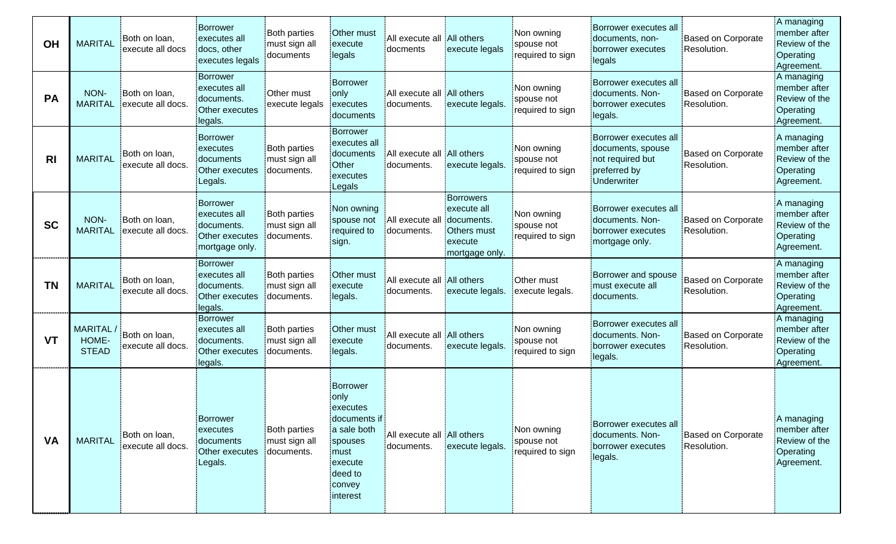| OH             | <b>MARITAL</b>                    | Both on loan,<br>execute all docs  | Borrower<br>executes all<br>docs, other<br>executes legals                 | <b>Both parties</b><br>must sign all<br>documents  | Other must<br>execute<br><b>legals</b>                                                                                      | All execute all All others<br>docments        | execute legals                                                                     | Non owning<br>spouse not<br>required to sign | Borrower executes all<br>documents, non-<br>borrower executes<br>legals                       | <b>Based on Corporate</b><br>Resolution. | A managing<br>member after<br>Review of the<br>:Operating<br>Agreement.  |
|----------------|-----------------------------------|------------------------------------|----------------------------------------------------------------------------|----------------------------------------------------|-----------------------------------------------------------------------------------------------------------------------------|-----------------------------------------------|------------------------------------------------------------------------------------|----------------------------------------------|-----------------------------------------------------------------------------------------------|------------------------------------------|--------------------------------------------------------------------------|
| <b>PA</b>      | NON-<br><b>MARITAL</b>            | Both on loan,<br>execute all docs. | Borrower<br>executes all<br>documents.<br>Other executes<br>legals.        | Other must<br>execute legals                       | Borrower<br>only<br>executes<br>documents                                                                                   | : All execute all : All others<br>documents.  | execute legals.                                                                    | Non owning<br>spouse not<br>required to sign | Borrower executes all<br>documents. Non-<br>borrower executes<br>legals.                      | Based on Corporate<br>Resolution.        | A managing<br>member after<br>Review of the<br>Operating<br>:Agreement.  |
| R <sub>l</sub> | <b>MARITAL</b>                    | Both on loan,<br>execute all docs. | Borrower<br>executes<br>documents<br>Other executes<br>Legals.             | <b>Both parties</b><br>must sign all<br>documents. | Borrower<br>executes all<br>documents<br>Other<br>executes<br>Legals                                                        | : All execute all : All others<br>:documents. | execute legals.                                                                    | Non owning<br>spouse not<br>required to sign | Borrower executes all<br>documents, spouse<br>not required but<br>preferred by<br>Underwriter | <b>Based on Corporate</b><br>Resolution. | A managing<br>member after<br>Review of the<br>Operating<br>Agreement.   |
| <b>SC</b>      | NON-<br><b>MARITAL</b>            | Both on loan,<br>execute all docs. | Borrower<br>executes all<br>documents.<br>Other executes<br>mortgage only. | <b>Both parties</b><br>must sign all<br>documents. | Non owning<br>spouse not<br>required to<br>sign.                                                                            | All execute all<br>documents.                 | Borrowers<br>execute all<br>documents.<br>Others must<br>execute<br>mortgage only. | Non owning<br>spouse not<br>required to sign | Borrower executes all<br>documents. Non-<br>borrower executes<br>mortgage only.               | Based on Corporate<br>Resolution.        | : A managing<br>member after<br>Review of the<br>Operating<br>Agreement. |
| <b>TN</b>      | <b>MARITAL</b>                    | Both on loan,<br>execute all docs. | Borrower<br>executes all<br>documents.<br>Other executes<br>legals.        | <b>Both parties</b><br>must sign all<br>documents. | Other must<br>execute<br>legals.                                                                                            | All execute all All others<br>documents.      | execute legals.                                                                    | <b>Other must</b><br>execute legals.         | Borrower and spouse<br>must execute all<br>documents.                                         | <b>Based on Corporate</b><br>Resolution. | A managing<br>member after<br>Review of the<br>Operating<br>Agreement.   |
| <b>VT</b>      | MARITAL/<br>HOME-<br><b>STEAD</b> | Both on loan,<br>execute all docs. | Borrower<br>executes all<br>documents.<br>Other executes<br>legals.        | <b>Both parties</b><br>must sign all<br>documents. | Other must<br>execute<br>legals.                                                                                            | All execute all All others<br>documents.      | execute legals.                                                                    | Non owning<br>spouse not<br>required to sign | Borrower executes all<br>documents. Non-<br>borrower executes<br>legals.                      | <b>Based on Corporate</b><br>Resolution. | : A managing<br>member after<br>Review of the<br>Operating<br>Agreement. |
| <b>VA</b>      | <b>MARITAL</b>                    | Both on loan,<br>execute all docs. | Borrower<br>executes<br>documents<br>Other executes<br>Legals.             | <b>Both parties</b><br>must sign all<br>documents. | Borrower<br>only<br>executes<br>documents if<br>a sale both<br>spouses<br>.must<br>execute<br>deed to<br>convey<br>interest | All execute all All others<br>documents.      | execute legals.                                                                    | Non owning<br>spouse not<br>required to sign | Borrower executes all<br>documents. Non-<br>borrower executes<br>legals.                      | Based on Corporate<br>Resolution.        | A managing<br>member after<br>Review of the<br>Operating<br>Agreement.   |